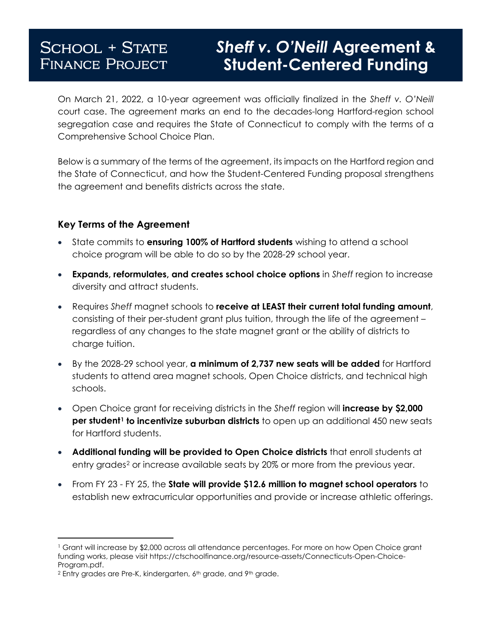# **SCHOOL + STATE FINANCE PROJECT**

# **Sheff v. O'Neill Agreement & Student-Centered Funding**

On March 21, 2022, a 10-year agreement was officially finalized in the *Sheff v. O'Neill* court case. The agreement marks an end to the decades-long Hartford-region school segregation case and requires the State of Connecticut to comply with the terms of a Comprehensive School Choice Plan.

Below is a summary of the terms of the agreement, its impacts on the Hartford region and the State of Connecticut, and how the Student-Centered Funding proposal strengthens the agreement and benefits districts across the state.

#### **Key Terms of the Agreement**

- State commits to **ensuring 100% of Hartford students** wishing to attend a school choice program will be able to do so by the 2028-29 school year.
- **Expands, reformulates, and creates school choice options** in *Sheff* region to increase diversity and attract students.
- Requires *Sheff* magnet schools to **receive at LEAST their current total funding amount**, consisting of their per-student grant plus tuition, through the life of the agreement – regardless of any changes to the state magnet grant or the ability of districts to charge tuition.
- By the 2028-29 school year, **a minimum of 2,737 new seats will be added** for Hartford students to attend area magnet schools, Open Choice districts, and technical high schools.
- Open Choice grant for receiving districts in the *Sheff* region will **increase by \$2,000 per student[1](#page-0-0) to incentivize suburban districts** to open up an additional 450 new seats for Hartford students.
- **Additional funding will be provided to Open Choice districts** that enroll students at entry grades<sup>[2](#page-0-1)</sup> or increase available seats by 20% or more from the previous year.
- From FY 23 FY 25, the **State will provide \$12.6 million to magnet school operators** to establish new extracurricular opportunities and provide or increase athletic offerings.

 $\overline{a}$ 

<span id="page-0-0"></span><sup>1</sup> Grant will increase by \$2,000 across all attendance percentages. For more on how Open Choice grant funding works, please visit https://ctschoolfinance.org/resource-assets/Connecticuts-Open-Choice-Program.pdf.<br><sup>2</sup> Entry grades are Pre-K, kindergarten, 6<sup>th</sup> grade, and 9<sup>th</sup> grade.

<span id="page-0-1"></span>